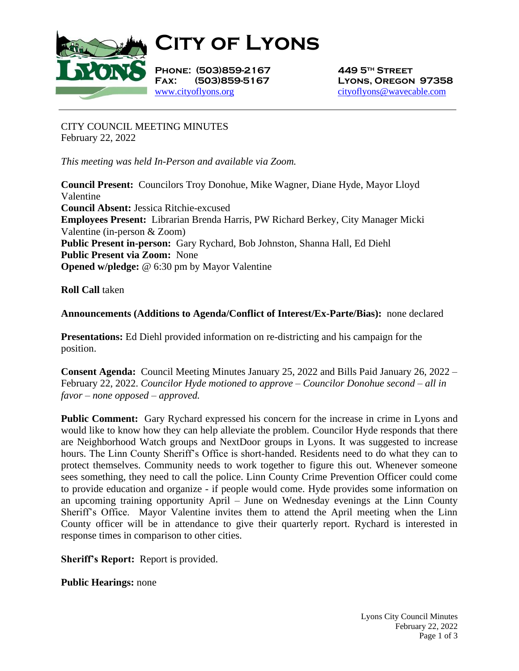

**City of Lyons**

**Phone: (503)859-2167 449 5th Street** [www.cityoflyons.org](http://www.cityoflyons.org/) [cityoflyons@wavecable.com](mailto:cityoflyons@wavecable.com)

**Fax: (503)859-5167 Lyons, Oregon 97358**

CITY COUNCIL MEETING MINUTES February 22, 2022

*This meeting was held In-Person and available via Zoom.*

**Council Present:** Councilors Troy Donohue, Mike Wagner, Diane Hyde, Mayor Lloyd Valentine **Council Absent:** Jessica Ritchie-excused **Employees Present:** Librarian Brenda Harris, PW Richard Berkey, City Manager Micki Valentine (in-person & Zoom) **Public Present in-person:** Gary Rychard, Bob Johnston, Shanna Hall, Ed Diehl **Public Present via Zoom:** None **Opened w/pledge:** @ 6:30 pm by Mayor Valentine

**Roll Call** taken

**Announcements (Additions to Agenda/Conflict of Interest/Ex-Parte/Bias):** none declared

**Presentations:** Ed Diehl provided information on re-districting and his campaign for the position.

**Consent Agenda:** Council Meeting Minutes January 25, 2022 and Bills Paid January 26, 2022 – February 22, 2022. *Councilor Hyde motioned to approve – Councilor Donohue second – all in favor – none opposed – approved.* 

**Public Comment:** Gary Rychard expressed his concern for the increase in crime in Lyons and would like to know how they can help alleviate the problem. Councilor Hyde responds that there are Neighborhood Watch groups and NextDoor groups in Lyons. It was suggested to increase hours. The Linn County Sheriff's Office is short-handed. Residents need to do what they can to protect themselves. Community needs to work together to figure this out. Whenever someone sees something, they need to call the police. Linn County Crime Prevention Officer could come to provide education and organize - if people would come. Hyde provides some information on an upcoming training opportunity April – June on Wednesday evenings at the Linn County Sheriff's Office. Mayor Valentine invites them to attend the April meeting when the Linn County officer will be in attendance to give their quarterly report. Rychard is interested in response times in comparison to other cities.

**Sheriff's Report:** Report is provided.

**Public Hearings:** none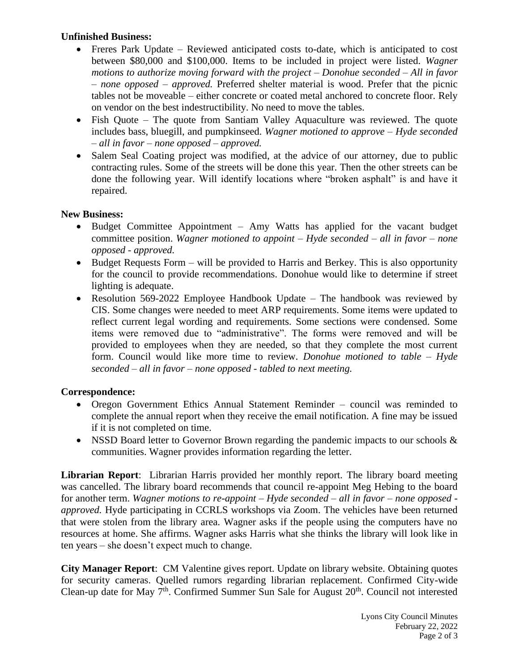## **Unfinished Business:**

- Freres Park Update Reviewed anticipated costs to-date, which is anticipated to cost between \$80,000 and \$100,000. Items to be included in project were listed. *Wagner motions to authorize moving forward with the project – Donohue seconded – All in favor – none opposed – approved.* Preferred shelter material is wood. Prefer that the picnic tables not be moveable – either concrete or coated metal anchored to concrete floor. Rely on vendor on the best indestructibility. No need to move the tables.
- Fish Quote The quote from Santiam Valley Aquaculture was reviewed. The quote includes bass, bluegill, and pumpkinseed. *Wagner motioned to approve – Hyde seconded – all in favor – none opposed – approved.*
- Salem Seal Coating project was modified, at the advice of our attorney, due to public contracting rules. Some of the streets will be done this year. Then the other streets can be done the following year. Will identify locations where "broken asphalt" is and have it repaired.

## **New Business:**

- Budget Committee Appointment Amy Watts has applied for the vacant budget committee position. *Wagner motioned to appoint – Hyde seconded – all in favor – none opposed - approved.*
- Budget Requests Form will be provided to Harris and Berkey. This is also opportunity for the council to provide recommendations. Donohue would like to determine if street lighting is adequate.
- Resolution 569-2022 Employee Handbook Update The handbook was reviewed by CIS. Some changes were needed to meet ARP requirements. Some items were updated to reflect current legal wording and requirements. Some sections were condensed. Some items were removed due to "administrative". The forms were removed and will be provided to employees when they are needed, so that they complete the most current form. Council would like more time to review. *Donohue motioned to table – Hyde seconded – all in favor – none opposed - tabled to next meeting.*

## **Correspondence:**

- Oregon Government Ethics Annual Statement Reminder council was reminded to complete the annual report when they receive the email notification. A fine may be issued if it is not completed on time.
- NSSD Board letter to Governor Brown regarding the pandemic impacts to our schools & communities. Wagner provides information regarding the letter.

**Librarian Report**: Librarian Harris provided her monthly report. The library board meeting was cancelled. The library board recommends that council re-appoint Meg Hebing to the board for another term. *Wagner motions to re-appoint – Hyde seconded – all in favor – none opposed approved.* Hyde participating in CCRLS workshops via Zoom. The vehicles have been returned that were stolen from the library area. Wagner asks if the people using the computers have no resources at home. She affirms. Wagner asks Harris what she thinks the library will look like in ten years – she doesn't expect much to change.

**City Manager Report**: CM Valentine gives report. Update on library website. Obtaining quotes for security cameras. Quelled rumors regarding librarian replacement. Confirmed City-wide Clean-up date for May  $7<sup>th</sup>$ . Confirmed Summer Sun Sale for August  $20<sup>th</sup>$ . Council not interested